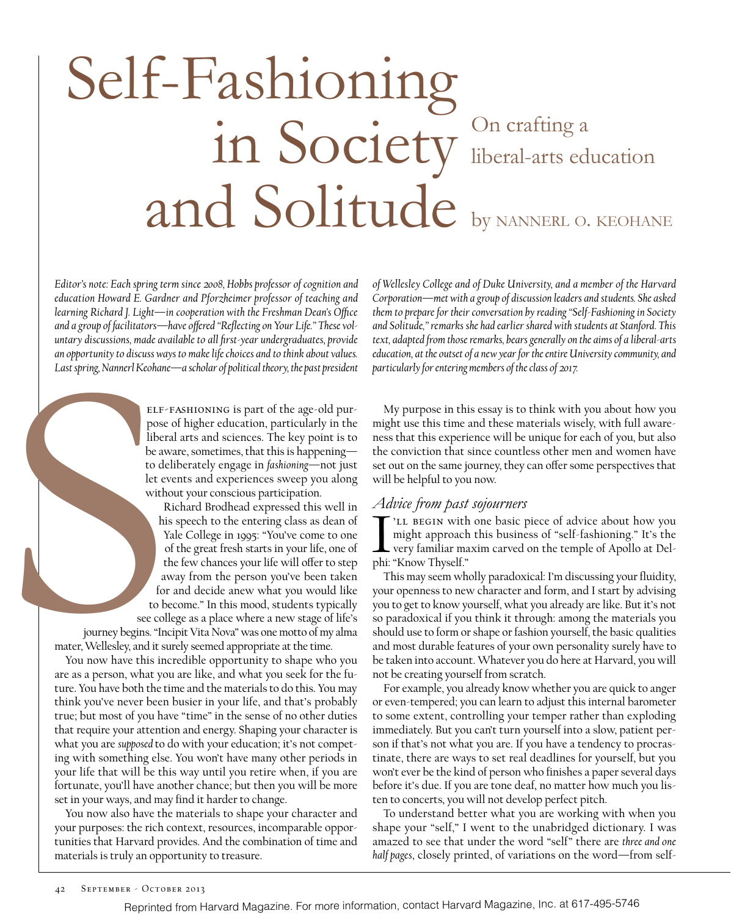# Self-Fashioning in Society Con crafting a and Solitude liberal-arts education by nannerl o. keohane

an opportunity to discuss way<br>Last spring, Nannerl Keohane<br>pose<br>liber:<br>be aw<br>to de<br>let evint must<br>his mis are with a<br>second<br>journey begins. "In a<br>second journey begins." In a<br>second matter, Wellesley, and it su<br>view this i *Editor's note: Each spring term since 2008, Hobbs professor of cognition and education Howard E. Gardner and Pforzheimer professor of teaching and learning Richard J. Light—in cooperation with the Freshman Dean's Office and a group of facilitators—have offered "Reflecting on Your Life." These voluntary discussions, made available to all first-year undergraduates, provide an opportunity to discuss ways to make life choices and to think about values. Last spring, Nannerl Keohane—a scholar of political theory, the past president* 

 $ELF-FASHIONING$  is part of the age-old purpose of higher education, particularly in the liberal arts and sciences. The key point is to be aware, sometimes, that this is happening to deliberately engage in *fashioning*—not just let events and experiences sweep you along without your conscious participation.

Richard Brodhead expressed this well in his speech to the entering class as dean of Yale College in 1995: "You've come to one of the great fresh starts in your life, one of the few chances your life will offer to step away from the person you've been taken for and decide anew what you would like to become." In this mood, students typically see college as a place where a new stage of life's

journey begins. "Incipit Vita Nova" was one motto of my alma mater, Wellesley, and it surely seemed appropriate at the time.

You now have this incredible opportunity to shape who you are as a person, what you are like, and what you seek for the future. You have both the time and the materials to do this. You may think you've never been busier in your life, and that's probably true; but most of you have "time" in the sense of no other duties that require your attention and energy. Shaping your character is what you are *supposed* to do with your education; it's not competing with something else. You won't have many other periods in your life that will be this way until you retire when, if you are fortunate, you'll have another chance; but then you will be more set in your ways, and may find it harder to change.

You now also have the materials to shape your character and your purposes: the rich context, resources, incomparable opportunities that Harvard provides. And the combination of time and materials is truly an opportunity to treasure.

*of Wellesley College and of Duke University, and a member of the Harvard Corporation—met with a group of discussion leaders and students. She asked them to prepare for their conversation by reading "Self-Fashioning in Society and Solitude," remarks she had earlier shared with students at Stanford. This text, adapted from those remarks, bears generally on the aims of a liberal-arts education, at the outset of a new year for the entire University community, and particularly for entering members of the class of 2017.*

My purpose in this essay is to think with you about how you might use this time and these materials wisely, with full awareness that this experience will be unique for each of you, but also the conviction that since countless other men and women have set out on the same journey, they can offer some perspectives that will be helpful to you now.

#### *Advice from past sojourners*

Theory Joseph Pine<br>
Inight approach<br>
very familiar ma<br>
phi: "Know Thyself." 'LL BEGIN with one basic piece of advice about how you might approach this business of "self-fashioning." It's the very familiar maxim carved on the temple of Apollo at Del-

This may seem wholly paradoxical: I'm discussing your fluidity, your openness to new character and form, and I start by advising you to get to know yourself, what you already are like. But it's not so paradoxical if you think it through: among the materials you should use to form or shape or fashion yourself, the basic qualities and most durable features of your own personality surely have to be taken into account. Whatever you do here at Harvard, you will not be creating yourself from scratch.

For example, you already know whether you are quick to anger or even-tempered; you can learn to adjust this internal barometer to some extent, controlling your temper rather than exploding immediately. But you can't turn yourself into a slow, patient person if that's not what you are. If you have a tendency to procrastinate, there are ways to set real deadlines for yourself, but you won't ever be the kind of person who finishes a paper several days before it's due. If you are tone deaf, no matter how much you listen to concerts, you will not develop perfect pitch.

To understand better what you are working with when you shape your "self," I went to the unabridged dictionary. I was amazed to see that under the word "self" there are *three and one half pages*, closely printed, of variations on the word—from self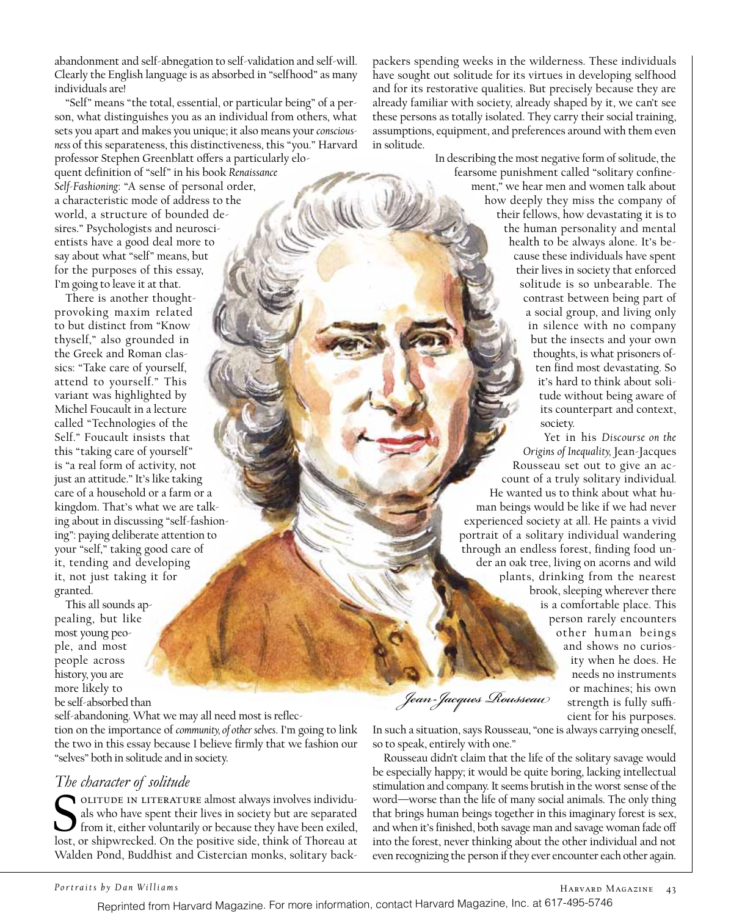abandonment and self-abnegation to self-validation and self-will. Clearly the English language is as absorbed in "selfhood" as many individuals are!

"Self" means "the total, essential, or particular being" of a person, what distinguishes you as an individual from others, what sets you apart and makes you unique; it also means your *consciousness* of this separateness, this distinctiveness, this "you." Harvard professor Stephen Greenblatt offers a particularly eloquent definition of "self" in his book *Renaissance Self-Fashioning*: "A sense of personal order,

a characteristic mode of address to the world, a structure of bounded desires." Psychologists and neuroscientists have a good deal more to say about what "self" means, but for the purposes of this essay, I'm going to leave it at that.

There is another thoughtprovoking maxim related to but distinct from "Know thyself," also grounded in the Greek and Roman classics: "Take care of yourself, attend to yourself." This variant was highlighted by Michel Foucault in a lecture called "Technologies of the Self." Foucault insists that this "taking care of yourself" is "a real form of activity, not just an attitude." It's like taking care of a household or a farm or a kingdom. That's what we are talking about in discussing "self-fashioning": paying deliberate attention to your "self," taking good care of it, tending and developing it, not just taking it for granted.

This all sounds appealing, but like most young people, and most people across history, you are more likely to be self-absorbed than

self-abandoning. What we may all need most is reflec-

tion on the importance of *community, of other selves*. I'm going to link the two in this essay because I believe firmly that we fashion our "selves" both in solitude and in society.

# *The character of solitude*

SOLITUDE IN LITERATURE almost always involves individuals als who have spent their lives in society but are separated from it, either voluntarily or because they have been exiled, lost, or shipwrecked. On the positive side als who have spent their lives in society but are separated from it, either voluntarily or because they have been exiled, lost, or shipwrecked. On the positive side, think of Thoreau at Walden Pond, Buddhist and Cistercian monks, solitary back-

packers spending weeks in the wilderness. These individuals have sought out solitude for its virtues in developing selfhood and for its restorative qualities. But precisely because they are already familiar with society, already shaped by it, we can't see these persons as totally isolated. They carry their social training, assumptions, equipment, and preferences around with them even in solitude.

> In describing the most negative form of solitude, the fearsome punishment called "solitary confinement," we hear men and women talk about how deeply they miss the company of their fellows, how devastating it is to the human personality and mental health to be always alone. It's because these individuals have spent their lives in society that enforced solitude is so unbearable. The contrast between being part of a social group, and living only in silence with no company but the insects and your own thoughts, is what prisoners often find most devastating. So it's hard to think about solitude without being aware of its counterpart and context, society.

Yet in his *Discourse on the Origins of Inequality,* Jean-Jacques Rousseau set out to give an account of a truly solitary individual*.*  He wanted us to think about what human beings would be like if we had never experienced society at all. He paints a vivid portrait of a solitary individual wandering through an endless forest, finding food under an oak tree, living on acorns and wild plants, drinking from the nearest brook, sleeping wherever there is a comfortable place. This person rarely encounters other human beings and shows no curiosity when he does. He needs no instruments or machines; his own strength is fully sufficient for his purposes.

*Jean-Jacques Rousseau*

In such a situation, says Rousseau, "one is always carrying oneself, so to speak, entirely with one."

Rousseau didn't claim that the life of the solitary savage would be especially happy; it would be quite boring, lacking intellectual stimulation and company. It seems brutish in the worst sense of the word—worse than the life of many social animals. The only thing that brings human beings together in this imaginary forest is sex, and when it's finished, both savage man and savage woman fade off into the forest, never thinking about the other individual and not even recognizing the person if they ever encounter each other again.

Reprinted from Harvard Magazine. For more information, contact Harvard Magazine, Inc. at 617-495-5746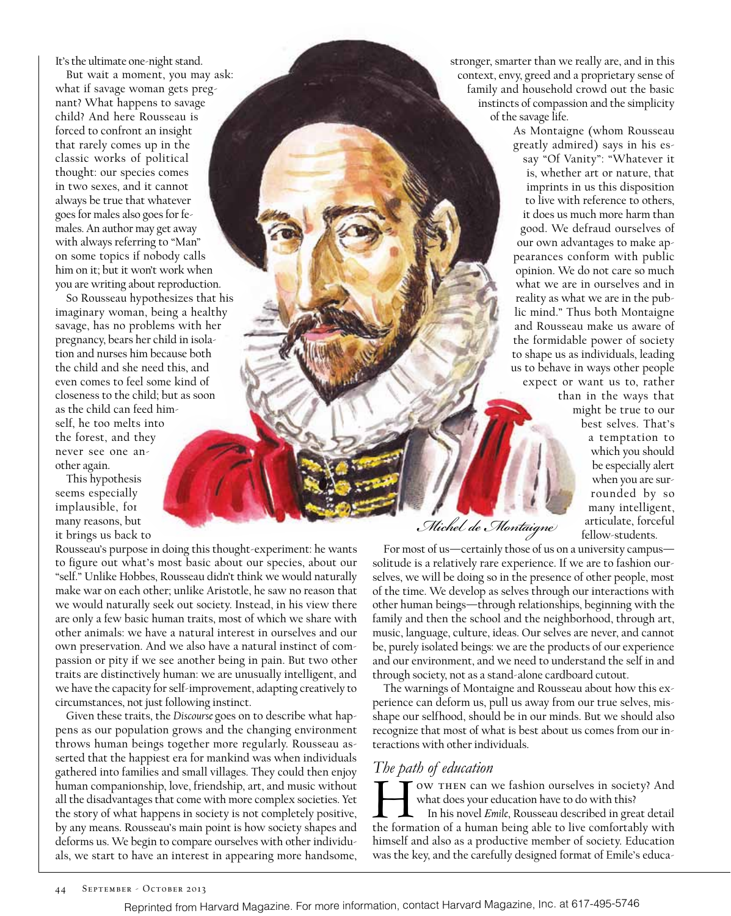It's the ultimate one-night stand.

But wait a moment, you may ask: what if savage woman gets pregnant? What happens to savage child? And here Rousseau is forced to confront an insight that rarely comes up in the classic works of political thought: our species comes in two sexes, and it cannot always be true that whatever goes for males also goes for females. An author may get away with always referring to "Man" on some topics if nobody calls him on it; but it won't work when you are writing about reproduction.

So Rousseau hypothesizes that his imaginary woman, being a healthy savage, has no problems with her pregnancy, bears her child in isolation and nurses him because both the child and she need this, and even comes to feel some kind of closeness to the child; but as soon as the child can feed himself, he too melts into the forest, and they never see one another again.

This hypothesis seems especially implausible, for many reasons, but it brings us back to

Rousseau's purpose in doing this thought-experiment: he wants to figure out what's most basic about our species, about our "self." Unlike Hobbes, Rousseau didn't think we would naturally make war on each other; unlike Aristotle, he saw no reason that we would naturally seek out society. Instead, in his view there are only a few basic human traits, most of which we share with other animals: we have a natural interest in ourselves and our own preservation. And we also have a natural instinct of compassion or pity if we see another being in pain. But two other traits are distinctively human: we are unusually intelligent, and we have the capacity for self-improvement, adapting creatively to circumstances, not just following instinct.

Given these traits, the *Discourse* goes on to describe what happens as our population grows and the changing environment throws human beings together more regularly. Rousseau asserted that the happiest era for mankind was when individuals gathered into families and small villages. They could then enjoy human companionship, love, friendship, art, and music without all the disadvantages that come with more complex societies. Yet the story of what happens in society is not completely positive, by any means. Rousseau's main point is how society shapes and deforms us. We begin to compare ourselves with other individuals, we start to have an interest in appearing more handsome,

stronger, smarter than we really are, and in this context, envy, greed and a proprietary sense of family and household crowd out the basic instincts of compassion and the simplicity of the savage life.

> As Montaigne (whom Rousseau greatly admired) says in his essay "Of Vanity": "Whatever it is, whether art or nature, that imprints in us this disposition to live with reference to others, it does us much more harm than good. We defraud ourselves of our own advantages to make appearances conform with public opinion. We do not care so much what we are in ourselves and in reality as what we are in the public mind." Thus both Montaigne and Rousseau make us aware of the formidable power of society to shape us as individuals, leading us to behave in ways other people expect or want us to, rather

than in the ways that might be true to our best selves. That's a temptation to which you should be especially alert when you are surrounded by so many intelligent, articulate, forceful fellow-students.

*Michel de Montaigne*

For most of us—certainly those of us on a university campus solitude is a relatively rare experience. If we are to fashion ourselves, we will be doing so in the presence of other people, most of the time. We develop as selves through our interactions with other human beings—through relationships, beginning with the family and then the school and the neighborhood, through art, music, language, culture, ideas. Our selves are never, and cannot be, purely isolated beings: we are the products of our experience and our environment, and we need to understand the self in and through society, not as a stand-alone cardboard cutout.

The warnings of Montaigne and Rousseau about how this experience can deform us, pull us away from our true selves, misshape our selfhood, should be in our minds. But we should also recognize that most of what is best about us comes from our interactions with other individuals.

#### *The path of education*

OW THEN can we fashion ourselves in society? And what does your education have to do with this? In his novel *Emile*, Rousseau described in great detail the formation of a human being able to live comfortably with himself and also as a productive member of society. Education was the key, and the carefully designed format of Emile's educa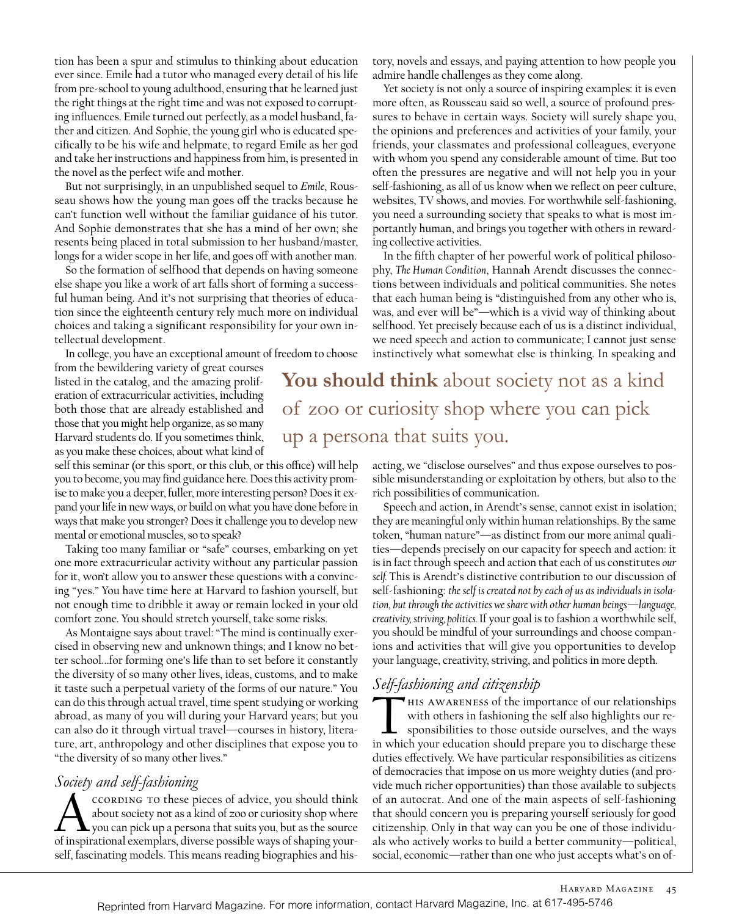tion has been a spur and stimulus to thinking about education ever since. Emile had a tutor who managed every detail of his life from pre-school to young adulthood, ensuring that he learned just the right things at the right time and was not exposed to corrupting influences. Emile turned out perfectly, as a model husband, father and citizen. And Sophie, the young girl who is educated specifically to be his wife and helpmate, to regard Emile as her god and take her instructions and happiness from him, is presented in the novel as the perfect wife and mother.

But not surprisingly, in an unpublished sequel to *Emile*, Rousseau shows how the young man goes off the tracks because he can't function well without the familiar guidance of his tutor. And Sophie demonstrates that she has a mind of her own; she resents being placed in total submission to her husband/master, longs for a wider scope in her life, and goes off with another man.

So the formation of selfhood that depends on having someone else shape you like a work of art falls short of forming a successful human being. And it's not surprising that theories of education since the eighteenth century rely much more on individual choices and taking a significant responsibility for your own intellectual development.

In college, you have an exceptional amount of freedom to choose

from the bewildering variety of great courses listed in the catalog, and the amazing proliferation of extracurricular activities, including both those that are already established and those that you might help organize, as so many Harvard students do. If you sometimes think, as you make these choices, about what kind of

self this seminar (or this sport, or this club, or this office) will help you to become, you may find guidance here. Does this activity promise to make you a deeper, fuller, more interesting person? Does it expand your life in new ways, or build on what you have done before in ways that make you stronger? Does it challenge you to develop new mental or emotional muscles, so to speak?

Taking too many familiar or "safe" courses, embarking on yet one more extracurricular activity without any particular passion for it, won't allow you to answer these questions with a convincing "yes." You have time here at Harvard to fashion yourself, but not enough time to dribble it away or remain locked in your old comfort zone. You should stretch yourself, take some risks.

As Montaigne says about travel: "The mind is continually exercised in observing new and unknown things; and I know no better school...for forming one's life than to set before it constantly the diversity of so many other lives, ideas, customs, and to make it taste such a perpetual variety of the forms of our nature." You can do this through actual travel, time spent studying or working abroad, as many of you will during your Harvard years; but you can also do it through virtual travel—courses in history, literature, art, anthropology and other disciplines that expose you to "the diversity of so many other lives."

#### *Society and self-fashioning*

ccording to these pieces of advice, you should think about society not as a kind of zoo or curiosity shop where you can pick up a persona that suits you, but as the source of inspirational exemplars, diverse possible ways of shaping yourself, fascinating models. This means reading biographies and history, novels and essays, and paying attention to how people you admire handle challenges as they come along.

Yet society is not only a source of inspiring examples: it is even more often, as Rousseau said so well, a source of profound pressures to behave in certain ways. Society will surely shape you, the opinions and preferences and activities of your family, your friends, your classmates and professional colleagues, everyone with whom you spend any considerable amount of time. But too often the pressures are negative and will not help you in your self-fashioning, as all of us know when we reflect on peer culture, websites, TV shows, and movies. For worthwhile self-fashioning, you need a surrounding society that speaks to what is most importantly human, and brings you together with others in rewarding collective activities.

In the fifth chapter of her powerful work of political philosophy, *The Human Condition*, Hannah Arendt discusses the connections between individuals and political communities. She notes that each human being is "distinguished from any other who is, was, and ever will be"—which is a vivid way of thinking about selfhood. Yet precisely because each of us is a distinct individual, we need speech and action to communicate; I cannot just sense instinctively what somewhat else is thinking. In speaking and

**You should think** about society not as a kind of zoo or curiosity shop where you can pick up a persona that suits you.

> acting, we "disclose ourselves" and thus expose ourselves to possible misunderstanding or exploitation by others, but also to the rich possibilities of communication.

> Speech and action, in Arendt's sense, cannot exist in isolation; they are meaningful only within human relationships. By the same token, "human nature"—as distinct from our more animal qualities—depends precisely on our capacity for speech and action: it is in fact through speech and action that each of us constitutes *our self.* This is Arendt's distinctive contribution to our discussion of self-fashioning: *the self is created not by each of us as individuals in isolation, but through the activities we share with other human beings—language, creativity, striving, politics.* If your goal is to fashion a worthwhile self, you should be mindful of your surroundings and choose companions and activities that will give you opportunities to develop your language, creativity, striving, and politics in more depth.

# *Self-fashioning and citizenship*

THIS AWARENESS of the importance of our relationships with others in fashioning the self also highlights our responsibilities to those outside ourselves, and the ways in which your education should prepare you to discharge these duties effectively. We have particular responsibilities as citizens of democracies that impose on us more weighty duties (and provide much richer opportunities) than those available to subjects of an autocrat. And one of the main aspects of self-fashioning that should concern you is preparing yourself seriously for good citizenship. Only in that way can you be one of those individuals who actively works to build a better community—political, social, economic—rather than one who just accepts what's on of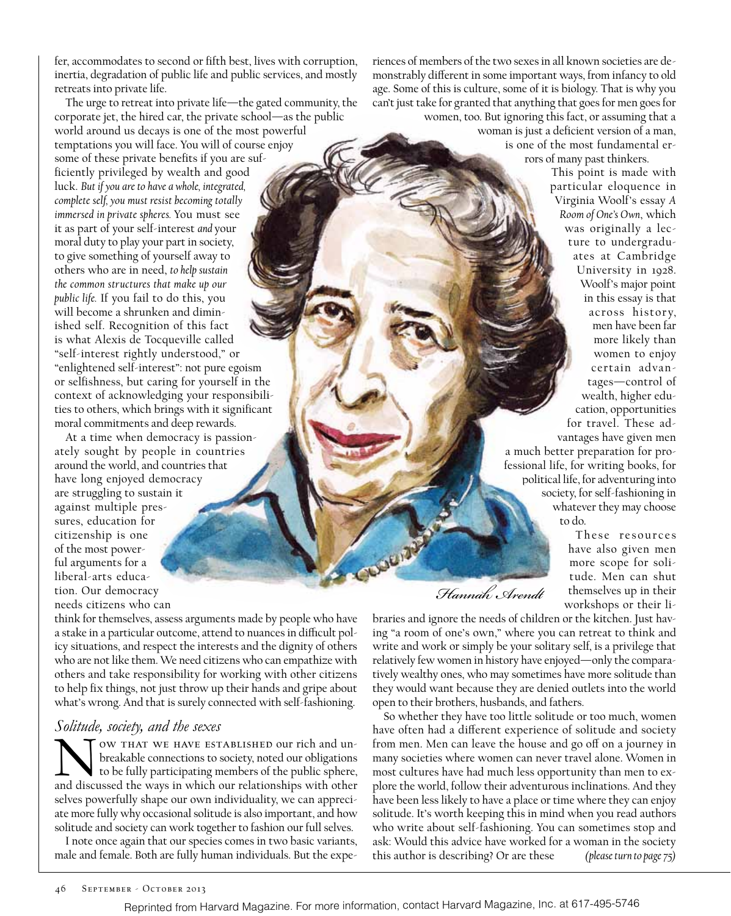fer, accommodates to second or fifth best, lives with corruption, inertia, degradation of public life and public services, and mostly retreats into private life.

The urge to retreat into private life—the gated community, the corporate jet, the hired car, the private school—as the public world around us decays is one of the most powerful temptations you will face. You will of course enjoy some of these private benefits if you are sufficiently privileged by wealth and good luck. *But if you are to have a whole, integrated, complete self, you must resist becoming totally immersed in private spheres.* You must see it as part of your self-interest *and* your moral duty to play your part in society, to give something of yourself away to others who are in need, *to help sustain the common structures that make up our public life.* If you fail to do this, you will become a shrunken and diminished self. Recognition of this fact is what Alexis de Tocqueville called "self-interest rightly understood," or "enlightened self-interest": not pure egoism or selfishness, but caring for yourself in the context of acknowledging your responsibilities to others, which brings with it significant moral commitments and deep rewards.

At a time when democracy is passionately sought by people in countries around the world, and countries that have long enjoyed democracy are struggling to sustain it against multiple pressures, education for citizenship is one of the most powerful arguments for a liberal-arts education. Our democracy needs citizens who can

think for themselves, assess arguments made by people who have a stake in a particular outcome, attend to nuances in difficult policy situations, and respect the interests and the dignity of others who are not like them. We need citizens who can empathize with others and take responsibility for working with other citizens to help fix things, not just throw up their hands and gripe about what's wrong. And that is surely connected with self-fashioning.

## *Solitude, society, and the sexes*

OW THAT WE HAVE ESTABLISHED our rich and unbreakable connections to society, noted our obligations to be fully participating members of the public sphere, and discussed the ways in which our relationships with other selves powerfully shape our own individuality, we can appreciate more fully why occasional solitude is also important, and how solitude and society can work together to fashion our full selves.

I note once again that our species comes in two basic variants, male and female. Both are fully human individuals. But the experiences of members of the two sexes in all known societies are demonstrably different in some important ways, from infancy to old age. Some of this is culture, some of it is biology. That is why you can't just take for granted that anything that goes for men goes for women, too. But ignoring this fact, or assuming that a woman is just a deficient version of a man, is one of the most fundamental errors of many past thinkers.

This point is made with particular eloquence in Virginia Woolf's essay *A Room of One's Own*, which was originally a lecture to undergraduates at Cambridge University in 1928. Woolf's major point in this essay is that across histor y, men have been far more likely than women to enjoy certain advantages—control of wealth, higher education, opportunities for travel. These advantages have given men a much better preparation for professional life, for writing books, for political life, for adventuring into society, for self-fashioning in whatever they may choose to do.

These resources have also given men more scope for solitude. Men can shut themselves up in their workshops or their li-

*Hannah Arendt*

braries and ignore the needs of children or the kitchen. Just having "a room of one's own," where you can retreat to think and write and work or simply be your solitary self, is a privilege that relatively few women in history have enjoyed—only the comparatively wealthy ones, who may sometimes have more solitude than they would want because they are denied outlets into the world open to their brothers, husbands, and fathers.

So whether they have too little solitude or too much, women have often had a different experience of solitude and society from men. Men can leave the house and go off on a journey in many societies where women can never travel alone. Women in most cultures have had much less opportunity than men to explore the world, follow their adventurous inclinations. And they have been less likely to have a place or time where they can enjoy solitude. It's worth keeping this in mind when you read authors who write about self-fashioning. You can sometimes stop and ask: Would this advice have worked for a woman in the society this author is describing? Or are these *(please turn to page 75)*